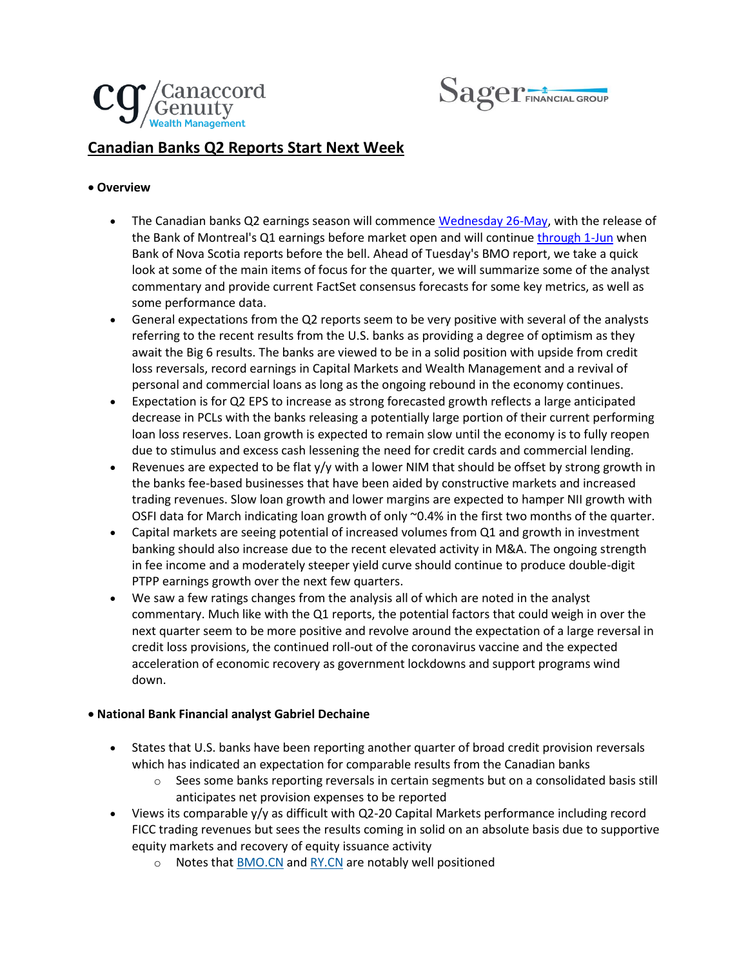



# **Canadian Banks Q2 Reports Start Next Week**

#### • **Overview**

- The Canadian banks Q2 earnings season will commence [Wednesday 26-May,](outlook-data-detector://1/) with the release of the Bank of Montreal's Q1 earnings before market open and will continue [through 1-Jun](outlook-data-detector://2/) when Bank of Nova Scotia reports before the bell. Ahead of Tuesday's BMO report, we take a quick look at some of the main items of focus for the quarter, we will summarize some of the analyst commentary and provide current FactSet consensus forecasts for some key metrics, as well as some performance data.
- General expectations from the Q2 reports seem to be very positive with several of the analysts referring to the recent results from the U.S. banks as providing a degree of optimism as they await the Big 6 results. The banks are viewed to be in a solid position with upside from credit loss reversals, record earnings in Capital Markets and Wealth Management and a revival of personal and commercial loans as long as the ongoing rebound in the economy continues.
- Expectation is for Q2 EPS to increase as strong forecasted growth reflects a large anticipated decrease in PCLs with the banks releasing a potentially large portion of their current performing loan loss reserves. Loan growth is expected to remain slow until the economy is to fully reopen due to stimulus and excess cash lessening the need for credit cards and commercial lending.
- Revenues are expected to be flat y/y with a lower NIM that should be offset by strong growth in the banks fee-based businesses that have been aided by constructive markets and increased trading revenues. Slow loan growth and lower margins are expected to hamper NII growth with OSFI data for March indicating loan growth of only ~0.4% in the first two months of the quarter.
- Capital markets are seeing potential of increased volumes from Q1 and growth in investment banking should also increase due to the recent elevated activity in M&A. The ongoing strength in fee income and a moderately steeper yield curve should continue to produce double-digit PTPP earnings growth over the next few quarters.
- We saw a few ratings changes from the analysis all of which are noted in the analyst commentary. Much like with the Q1 reports, the potential factors that could weigh in over the next quarter seem to be more positive and revolve around the expectation of a large reversal in credit loss provisions, the continued roll-out of the coronavirus vaccine and the expected acceleration of economic recovery as government lockdowns and support programs wind down.

### • **National Bank Financial analyst Gabriel Dechaine**

- States that U.S. banks have been reporting another quarter of broad credit provision reversals which has indicated an expectation for comparable results from the Canadian banks
	- $\circ$  Sees some banks reporting reversals in certain segments but on a consolidated basis still anticipates net provision expenses to be reported
- Views its comparable y/y as difficult with Q2-20 Capital Markets performance including record FICC trading revenues but sees the results coming in solid on an absolute basis due to supportive equity markets and recovery of equity issuance activity
	- o Notes that **[BMO.CN](https://urldefense.com/v3/__http:/BMO.CN__;!!Ei9jbvzSmg!Fft-oGfnZ7G91tYdSKnqtTPhr9OS_QIrPXP38K4cX7RBQAihRMPVOCc4GG0l8Fw$)** and **[RY.CN](https://urldefense.com/v3/__http:/RY.CN__;!!Ei9jbvzSmg!Fft-oGfnZ7G91tYdSKnqtTPhr9OS_QIrPXP38K4cX7RBQAihRMPVOCc4rsF6cz4$)** are notably well positioned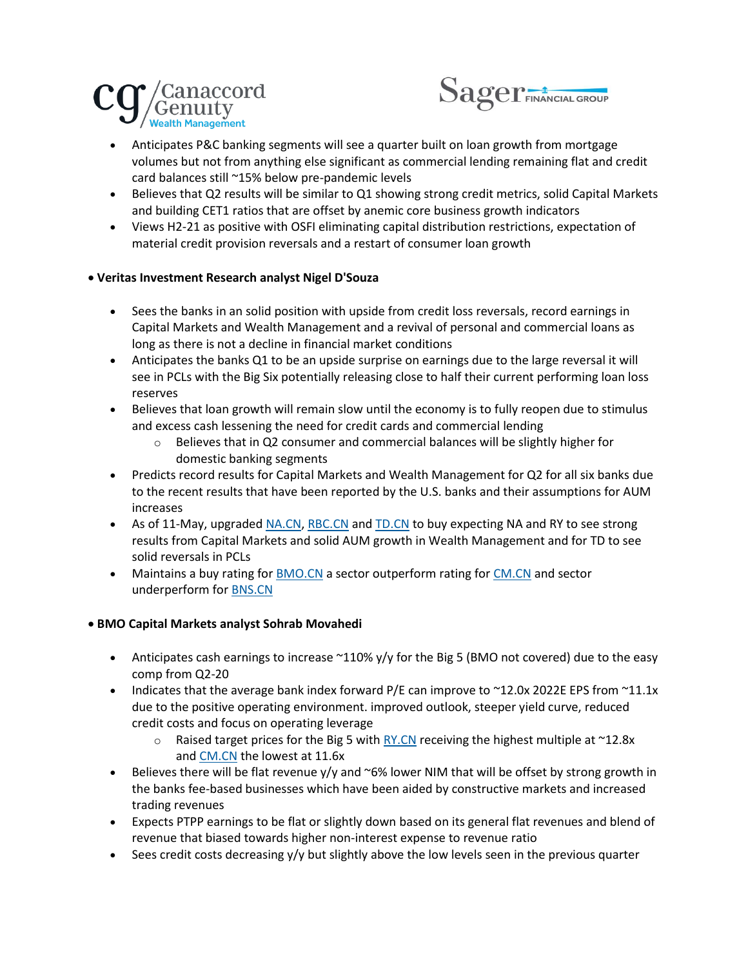



- Anticipates P&C banking segments will see a quarter built on loan growth from mortgage volumes but not from anything else significant as commercial lending remaining flat and credit card balances still ~15% below pre-pandemic levels
- Believes that Q2 results will be similar to Q1 showing strong credit metrics, solid Capital Markets and building CET1 ratios that are offset by anemic core business growth indicators
- Views H2-21 as positive with OSFI eliminating capital distribution restrictions, expectation of material credit provision reversals and a restart of consumer loan growth

# • **Veritas Investment Research analyst Nigel D'Souza**

- Sees the banks in an solid position with upside from credit loss reversals, record earnings in Capital Markets and Wealth Management and a revival of personal and commercial loans as long as there is not a decline in financial market conditions
- Anticipates the banks Q1 to be an upside surprise on earnings due to the large reversal it will see in PCLs with the Big Six potentially releasing close to half their current performing loan loss reserves
- Believes that loan growth will remain slow until the economy is to fully reopen due to stimulus and excess cash lessening the need for credit cards and commercial lending
	- $\circ$  Believes that in Q2 consumer and commercial balances will be slightly higher for domestic banking segments
- Predicts record results for Capital Markets and Wealth Management for Q2 for all six banks due to the recent results that have been reported by the U.S. banks and their assumptions for AUM increases
- As of 11-May, upgraded [NA.CN,](https://urldefense.com/v3/__http:/NA.CN__;!!Ei9jbvzSmg!Fft-oGfnZ7G91tYdSKnqtTPhr9OS_QIrPXP38K4cX7RBQAihRMPVOCc4EZv3gp8$) [RBC.CN](https://urldefense.com/v3/__http:/RBC.CN__;!!Ei9jbvzSmg!Fft-oGfnZ7G91tYdSKnqtTPhr9OS_QIrPXP38K4cX7RBQAihRMPVOCc4D8dIx1A$) and [TD.CN](https://urldefense.com/v3/__http:/TD.CN__;!!Ei9jbvzSmg!Fft-oGfnZ7G91tYdSKnqtTPhr9OS_QIrPXP38K4cX7RBQAihRMPVOCc4ho5t8xo$) to buy expecting NA and RY to see strong results from Capital Markets and solid AUM growth in Wealth Management and for TD to see solid reversals in PCLs
- Maintains a buy rating for [BMO.CN](https://urldefense.com/v3/__http:/BMO.CN__;!!Ei9jbvzSmg!Fft-oGfnZ7G91tYdSKnqtTPhr9OS_QIrPXP38K4cX7RBQAihRMPVOCc4GG0l8Fw$) a sector outperform rating for [CM.CN](https://urldefense.com/v3/__http:/CM.CN__;!!Ei9jbvzSmg!Fft-oGfnZ7G91tYdSKnqtTPhr9OS_QIrPXP38K4cX7RBQAihRMPVOCc4S89FVD8$) and sector underperform for [BNS.CN](https://urldefense.com/v3/__http:/BNS.CN__;!!Ei9jbvzSmg!Fft-oGfnZ7G91tYdSKnqtTPhr9OS_QIrPXP38K4cX7RBQAihRMPVOCc4K3TTdiU$)

### • **BMO Capital Markets analyst Sohrab Movahedi**

- Anticipates cash earnings to increase ~110% y/y for the Big 5 (BMO not covered) due to the easy comp from Q2-20
- Indicates that the average bank index forward P/E can improve to  $\sim$ 12.0x 2022E EPS from  $\sim$ 11.1x due to the positive operating environment. improved outlook, steeper yield curve, reduced credit costs and focus on operating leverage
	- $\circ$  Raised target prices for the Big 5 with [RY.CN](https://urldefense.com/v3/__http:/RY.CN__;!!Ei9jbvzSmg!Fft-oGfnZ7G91tYdSKnqtTPhr9OS_QIrPXP38K4cX7RBQAihRMPVOCc4rsF6cz4$) receiving the highest multiple at  $\sim$ 12.8x and [CM.CN](https://urldefense.com/v3/__http:/CM.CN__;!!Ei9jbvzSmg!Fft-oGfnZ7G91tYdSKnqtTPhr9OS_QIrPXP38K4cX7RBQAihRMPVOCc4S89FVD8$) the lowest at 11.6x
- Believes there will be flat revenue  $y/y$  and  $\sim$  6% lower NIM that will be offset by strong growth in the banks fee-based businesses which have been aided by constructive markets and increased trading revenues
- Expects PTPP earnings to be flat or slightly down based on its general flat revenues and blend of revenue that biased towards higher non-interest expense to revenue ratio
- Sees credit costs decreasing y/y but slightly above the low levels seen in the previous quarter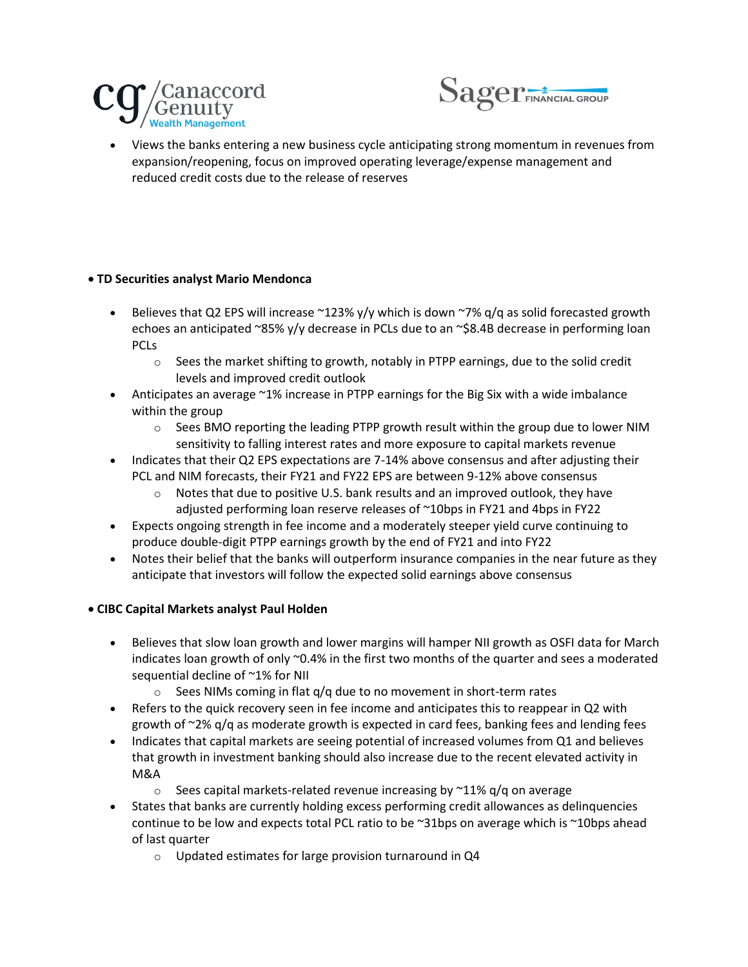



• Views the banks entering a new business cycle anticipating strong momentum in revenues from expansion/reopening, focus on improved operating leverage/expense management and reduced credit costs due to the release of reserves

# • **TD Securities analyst Mario Mendonca**

- Believes that Q2 EPS will increase  $\sim$  123% y/y which is down  $\sim$  7% q/q as solid forecasted growth echoes an anticipated ~85% y/y decrease in PCLs due to an ~\$8.4B decrease in performing loan PCLs
	- $\circ$  Sees the market shifting to growth, notably in PTPP earnings, due to the solid credit levels and improved credit outlook
- Anticipates an average ~1% increase in PTPP earnings for the Big Six with a wide imbalance within the group
	- $\circ$  Sees BMO reporting the leading PTPP growth result within the group due to lower NIM sensitivity to falling interest rates and more exposure to capital markets revenue
- Indicates that their Q2 EPS expectations are 7-14% above consensus and after adjusting their PCL and NIM forecasts, their FY21 and FY22 EPS are between 9-12% above consensus
	- $\circ$  Notes that due to positive U.S. bank results and an improved outlook, they have adjusted performing loan reserve releases of ~10bps in FY21 and 4bps in FY22
- Expects ongoing strength in fee income and a moderately steeper yield curve continuing to produce double-digit PTPP earnings growth by the end of FY21 and into FY22
- Notes their belief that the banks will outperform insurance companies in the near future as they anticipate that investors will follow the expected solid earnings above consensus

### • **CIBC Capital Markets analyst Paul Holden**

- Believes that slow loan growth and lower margins will hamper NII growth as OSFI data for March indicates loan growth of only ~0.4% in the first two months of the quarter and sees a moderated sequential decline of ~1% for NII
	- $\circ$  Sees NIMs coming in flat q/q due to no movement in short-term rates
- Refers to the quick recovery seen in fee income and anticipates this to reappear in Q2 with growth of ~2% q/q as moderate growth is expected in card fees, banking fees and lending fees
- Indicates that capital markets are seeing potential of increased volumes from Q1 and believes that growth in investment banking should also increase due to the recent elevated activity in M&A
	- $\circ$  Sees capital markets-related revenue increasing by  $\sim$ 11% q/q on average
- States that banks are currently holding excess performing credit allowances as delinquencies continue to be low and expects total PCL ratio to be ~31bps on average which is ~10bps ahead of last quarter
	- o Updated estimates for large provision turnaround in Q4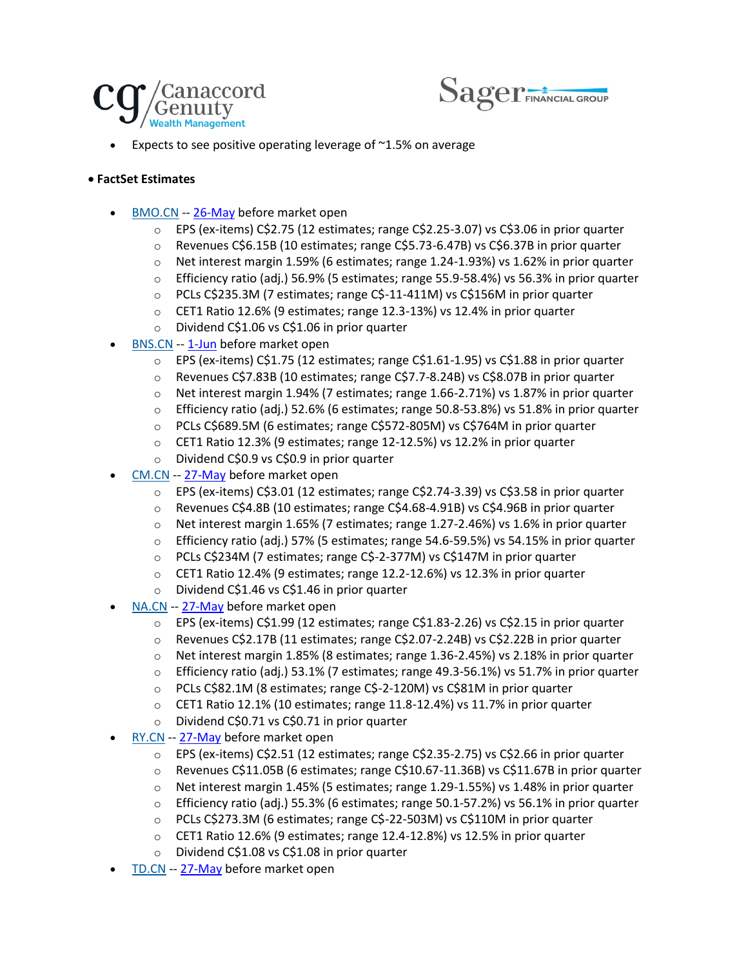



Expects to see positive operating leverage of  $\sim$ 1.5% on average

### • **FactSet Estimates**

- [BMO.CN](https://urldefense.com/v3/__http:/BMO.CN__;!!Ei9jbvzSmg!Fft-oGfnZ7G91tYdSKnqtTPhr9OS_QIrPXP38K4cX7RBQAihRMPVOCc4GG0l8Fw$) -- [26-May](outlook-data-detector://5/) before market open
	- $\circ$  EPS (ex-items) C\$2.75 (12 estimates; range C\$2.25-3.07) vs C\$3.06 in prior quarter
	- o Revenues C\$6.15B (10 estimates; range C\$5.73-6.47B) vs C\$6.37B in prior quarter
	- o Net interest margin 1.59% (6 estimates; range 1.24-1.93%) vs 1.62% in prior quarter
	- o Efficiency ratio (adj.) 56.9% (5 estimates; range 55.9-58.4%) vs 56.3% in prior quarter
	- o PCLs C\$235.3M (7 estimates; range C\$-11-411M) vs C\$156M in prior quarter
	- o CET1 Ratio 12.6% (9 estimates; range 12.3-13%) vs 12.4% in prior quarter
	- o Dividend C\$1.06 vs C\$1.06 in prior quarter
- [BNS.CN](https://urldefense.com/v3/__http:/BNS.CN__;!!Ei9jbvzSmg!Fft-oGfnZ7G91tYdSKnqtTPhr9OS_QIrPXP38K4cX7RBQAihRMPVOCc4K3TTdiU$) -- [1-Jun](outlook-data-detector://6/) before market open
	- $\circ$  EPS (ex-items) C\$1.75 (12 estimates; range C\$1.61-1.95) vs C\$1.88 in prior quarter
	- o Revenues C\$7.83B (10 estimates; range C\$7.7-8.24B) vs C\$8.07B in prior quarter
	- $\circ$  Net interest margin 1.94% (7 estimates; range 1.66-2.71%) vs 1.87% in prior quarter
	- o Efficiency ratio (adj.) 52.6% (6 estimates; range 50.8-53.8%) vs 51.8% in prior quarter
	- o PCLs C\$689.5M (6 estimates; range C\$572-805M) vs C\$764M in prior quarter
	- o CET1 Ratio 12.3% (9 estimates; range 12-12.5%) vs 12.2% in prior quarter
	- o Dividend C\$0.9 vs C\$0.9 in prior quarter
- [CM.CN](https://urldefense.com/v3/__http:/CM.CN__;!!Ei9jbvzSmg!Fft-oGfnZ7G91tYdSKnqtTPhr9OS_QIrPXP38K4cX7RBQAihRMPVOCc4S89FVD8$) -- [27-May](outlook-data-detector://7/) before market open
	- $\circ$  EPS (ex-items) C\$3.01 (12 estimates; range C\$2.74-3.39) vs C\$3.58 in prior quarter
	- o Revenues C\$4.8B (10 estimates; range C\$4.68-4.91B) vs C\$4.96B in prior quarter
	- o Net interest margin 1.65% (7 estimates; range 1.27-2.46%) vs 1.6% in prior quarter
	- $\circ$  Efficiency ratio (adj.) 57% (5 estimates; range 54.6-59.5%) vs 54.15% in prior quarter
	- o PCLs C\$234M (7 estimates; range C\$-2-377M) vs C\$147M in prior quarter
	- $\circ$  CET1 Ratio 12.4% (9 estimates; range 12.2-12.6%) vs 12.3% in prior quarter
	- o Dividend C\$1.46 vs C\$1.46 in prior quarter
- [NA.CN](https://urldefense.com/v3/__http:/NA.CN__;!!Ei9jbvzSmg!Fft-oGfnZ7G91tYdSKnqtTPhr9OS_QIrPXP38K4cX7RBQAihRMPVOCc4EZv3gp8$) -- [27-May](outlook-data-detector://8/) before market open
	- o EPS (ex-items) C\$1.99 (12 estimates; range C\$1.83-2.26) vs C\$2.15 in prior quarter
	- o Revenues C\$2.17B (11 estimates; range C\$2.07-2.24B) vs C\$2.22B in prior quarter
	- $\circ$  Net interest margin 1.85% (8 estimates; range 1.36-2.45%) vs 2.18% in prior quarter
	- o Efficiency ratio (adj.) 53.1% (7 estimates; range 49.3-56.1%) vs 51.7% in prior quarter
	- o PCLs C\$82.1M (8 estimates; range C\$-2-120M) vs C\$81M in prior quarter
	- o CET1 Ratio 12.1% (10 estimates; range 11.8-12.4%) vs 11.7% in prior quarter
	- o Dividend C\$0.71 vs C\$0.71 in prior quarter
- [RY.CN](https://urldefense.com/v3/__http:/RY.CN__;!!Ei9jbvzSmg!Fft-oGfnZ7G91tYdSKnqtTPhr9OS_QIrPXP38K4cX7RBQAihRMPVOCc4rsF6cz4$) -- [27-May](outlook-data-detector://9/) before market open
	- $\circ$  EPS (ex-items) C\$2.51 (12 estimates; range C\$2.35-2.75) vs C\$2.66 in prior quarter
	- o Revenues C\$11.05B (6 estimates; range C\$10.67-11.36B) vs C\$11.67B in prior quarter
	- $\circ$  Net interest margin 1.45% (5 estimates; range 1.29-1.55%) vs 1.48% in prior quarter
	- o Efficiency ratio (adj.) 55.3% (6 estimates; range 50.1-57.2%) vs 56.1% in prior quarter
	- o PCLs C\$273.3M (6 estimates; range C\$-22-503M) vs C\$110M in prior quarter
	- o CET1 Ratio 12.6% (9 estimates; range 12.4-12.8%) vs 12.5% in prior quarter
	- o Dividend C\$1.08 vs C\$1.08 in prior quarter
- [TD.CN](https://urldefense.com/v3/__http:/TD.CN__;!!Ei9jbvzSmg!Fft-oGfnZ7G91tYdSKnqtTPhr9OS_QIrPXP38K4cX7RBQAihRMPVOCc4ho5t8xo$) -- [27-May](outlook-data-detector://10/) before market open